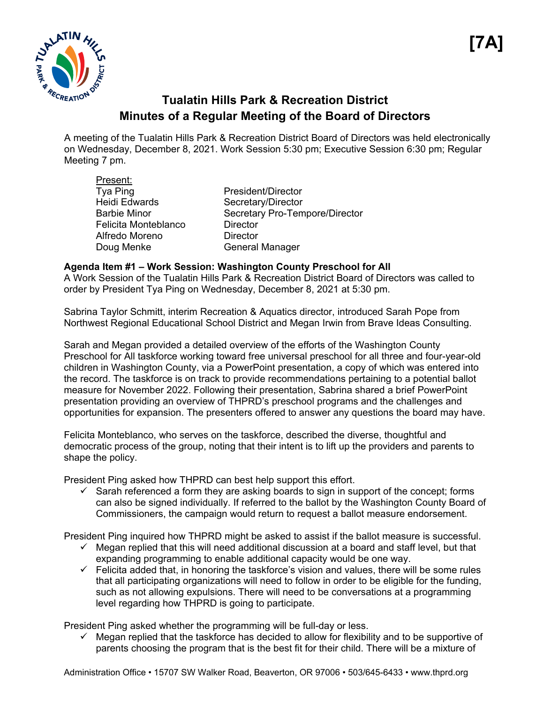

# **Tualatin Hills Park & Recreation District Minutes of a Regular Meeting of the Board of Directors**

A meeting of the Tualatin Hills Park & Recreation District Board of Directors was held electronically on Wednesday, December 8, 2021. Work Session 5:30 pm; Executive Session 6:30 pm; Regular Meeting 7 pm.

| Present:             |                                |
|----------------------|--------------------------------|
| Tya Ping             | President/Director             |
| <b>Heidi Edwards</b> | Secretary/Director             |
| <b>Barbie Minor</b>  | Secretary Pro-Tempore/Director |
| Felicita Monteblanco | <b>Director</b>                |
| Alfredo Moreno       | <b>Director</b>                |
| Doug Menke           | <b>General Manager</b>         |

#### **Agenda Item #1 – Work Session: Washington County Preschool for All**

A Work Session of the Tualatin Hills Park & Recreation District Board of Directors was called to order by President Tya Ping on Wednesday, December 8, 2021 at 5:30 pm.

Sabrina Taylor Schmitt, interim Recreation & Aquatics director, introduced Sarah Pope from Northwest Regional Educational School District and Megan Irwin from Brave Ideas Consulting.

Sarah and Megan provided a detailed overview of the efforts of the Washington County Preschool for All taskforce working toward free universal preschool for all three and four-year-old children in Washington County, via a PowerPoint presentation, a copy of which was entered into the record. The taskforce is on track to provide recommendations pertaining to a potential ballot measure for November 2022. Following their presentation, Sabrina shared a brief PowerPoint presentation providing an overview of THPRD's preschool programs and the challenges and opportunities for expansion. The presenters offered to answer any questions the board may have.

Felicita Monteblanco, who serves on the taskforce, described the diverse, thoughtful and democratic process of the group, noting that their intent is to lift up the providers and parents to shape the policy.

President Ping asked how THPRD can best help support this effort.

 $\checkmark$  Sarah referenced a form they are asking boards to sign in support of the concept; forms can also be signed individually. If referred to the ballot by the Washington County Board of Commissioners, the campaign would return to request a ballot measure endorsement.

President Ping inquired how THPRD might be asked to assist if the ballot measure is successful.

- $\checkmark$  Megan replied that this will need additional discussion at a board and staff level, but that expanding programming to enable additional capacity would be one way.
- $\checkmark$  Felicita added that, in honoring the taskforce's vision and values, there will be some rules that all participating organizations will need to follow in order to be eligible for the funding, such as not allowing expulsions. There will need to be conversations at a programming level regarding how THPRD is going to participate.

President Ping asked whether the programming will be full-day or less.

 $\checkmark$  Megan replied that the taskforce has decided to allow for flexibility and to be supportive of parents choosing the program that is the best fit for their child. There will be a mixture of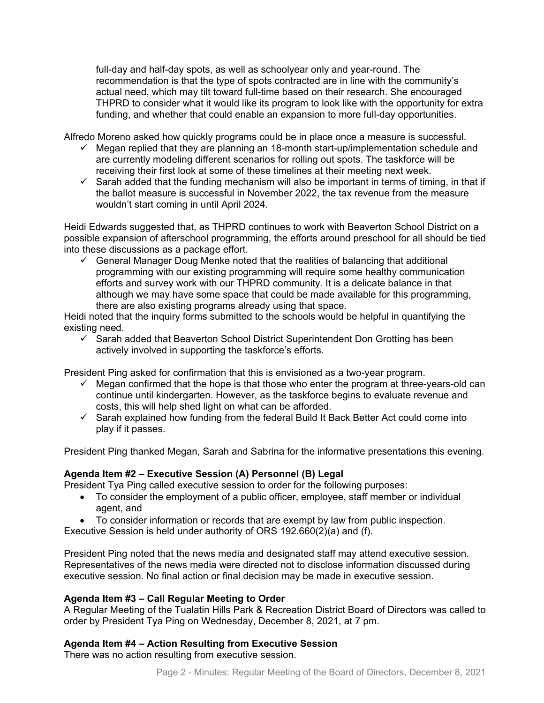full-day and half-day spots, as well as schoolyear only and year-round. The recommendation is that the type of spots contracted are in line with the community's actual need, which may tilt toward full-time based on their research. She encouraged THPRD to consider what it would like its program to look like with the opportunity for extra funding, and whether that could enable an expansion to more full-day opportunities.

Alfredo Moreno asked how quickly programs could be in place once a measure is successful.

- $\checkmark$  Megan replied that they are planning an 18-month start-up/implementation schedule and are currently modeling different scenarios for rolling out spots. The taskforce will be receiving their first look at some of these timelines at their meeting next week.
- $\checkmark$  Sarah added that the funding mechanism will also be important in terms of timing, in that if the ballot measure is successful in November 2022, the tax revenue from the measure wouldn't start coming in until April 2024.

Heidi Edwards suggested that, as THPRD continues to work with Beaverton School District on a possible expansion of afterschool programming, the efforts around preschool for all should be tied into these discussions as a package effort.

 $\checkmark$  General Manager Doug Menke noted that the realities of balancing that additional programming with our existing programming will require some healthy communication efforts and survey work with our THPRD community. It is a delicate balance in that although we may have some space that could be made available for this programming, there are also existing programs already using that space.

Heidi noted that the inquiry forms submitted to the schools would be helpful in quantifying the existing need.

 $\checkmark$  Sarah added that Beaverton School District Superintendent Don Grotting has been actively involved in supporting the taskforce's efforts.

President Ping asked for confirmation that this is envisioned as a two-year program.

- $\checkmark$  Megan confirmed that the hope is that those who enter the program at three-years-old can continue until kindergarten. However, as the taskforce begins to evaluate revenue and costs, this will help shed light on what can be afforded.
- $\checkmark$  Sarah explained how funding from the federal Build It Back Better Act could come into play if it passes.

President Ping thanked Megan, Sarah and Sabrina for the informative presentations this evening.

#### **Agenda Item #2 – Executive Session (A) Personnel (B) Legal**

President Tya Ping called executive session to order for the following purposes:

- To consider the employment of a public officer, employee, staff member or individual agent, and
- To consider information or records that are exempt by law from public inspection.

Executive Session is held under authority of ORS 192.660(2)(a) and (f).

President Ping noted that the news media and designated staff may attend executive session. Representatives of the news media were directed not to disclose information discussed during executive session. No final action or final decision may be made in executive session.

# **Agenda Item #3 – Call Regular Meeting to Order**

A Regular Meeting of the Tualatin Hills Park & Recreation District Board of Directors was called to order by President Tya Ping on Wednesday, December 8, 2021, at 7 pm.

# **Agenda Item #4 – Action Resulting from Executive Session**

There was no action resulting from executive session.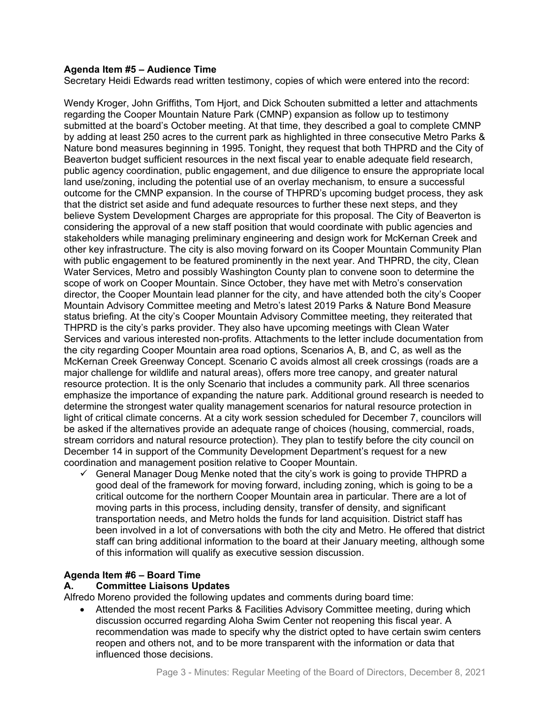#### **Agenda Item #5 – Audience Time**

Secretary Heidi Edwards read written testimony, copies of which were entered into the record:

Wendy Kroger, John Griffiths, Tom Hjort, and Dick Schouten submitted a letter and attachments regarding the Cooper Mountain Nature Park (CMNP) expansion as follow up to testimony submitted at the board's October meeting. At that time, they described a goal to complete CMNP by adding at least 250 acres to the current park as highlighted in three consecutive Metro Parks & Nature bond measures beginning in 1995. Tonight, they request that both THPRD and the City of Beaverton budget sufficient resources in the next fiscal year to enable adequate field research, public agency coordination, public engagement, and due diligence to ensure the appropriate local land use/zoning, including the potential use of an overlay mechanism, to ensure a successful outcome for the CMNP expansion. In the course of THPRD's upcoming budget process, they ask that the district set aside and fund adequate resources to further these next steps, and they believe System Development Charges are appropriate for this proposal. The City of Beaverton is considering the approval of a new staff position that would coordinate with public agencies and stakeholders while managing preliminary engineering and design work for McKernan Creek and other key infrastructure. The city is also moving forward on its Cooper Mountain Community Plan with public engagement to be featured prominently in the next year. And THPRD, the city, Clean Water Services, Metro and possibly Washington County plan to convene soon to determine the scope of work on Cooper Mountain. Since October, they have met with Metro's conservation director, the Cooper Mountain lead planner for the city, and have attended both the city's Cooper Mountain Advisory Committee meeting and Metro's latest 2019 Parks & Nature Bond Measure status briefing. At the city's Cooper Mountain Advisory Committee meeting, they reiterated that THPRD is the city's parks provider. They also have upcoming meetings with Clean Water Services and various interested non-profits. Attachments to the letter include documentation from the city regarding Cooper Mountain area road options, Scenarios A, B, and C, as well as the McKernan Creek Greenway Concept. Scenario C avoids almost all creek crossings (roads are a major challenge for wildlife and natural areas), offers more tree canopy, and greater natural resource protection. It is the only Scenario that includes a community park. All three scenarios emphasize the importance of expanding the nature park. Additional ground research is needed to determine the strongest water quality management scenarios for natural resource protection in light of critical climate concerns. At a city work session scheduled for December 7, councilors will be asked if the alternatives provide an adequate range of choices (housing, commercial, roads, stream corridors and natural resource protection). They plan to testify before the city council on December 14 in support of the Community Development Department's request for a new coordination and management position relative to Cooper Mountain.

 $\checkmark$  General Manager Doug Menke noted that the city's work is going to provide THPRD a good deal of the framework for moving forward, including zoning, which is going to be a critical outcome for the northern Cooper Mountain area in particular. There are a lot of moving parts in this process, including density, transfer of density, and significant transportation needs, and Metro holds the funds for land acquisition. District staff has been involved in a lot of conversations with both the city and Metro. He offered that district staff can bring additional information to the board at their January meeting, although some of this information will qualify as executive session discussion.

#### **Agenda Item #6 – Board Time**

#### **A. Committee Liaisons Updates**

Alfredo Moreno provided the following updates and comments during board time:

• Attended the most recent Parks & Facilities Advisory Committee meeting, during which discussion occurred regarding Aloha Swim Center not reopening this fiscal year. A recommendation was made to specify why the district opted to have certain swim centers reopen and others not, and to be more transparent with the information or data that influenced those decisions.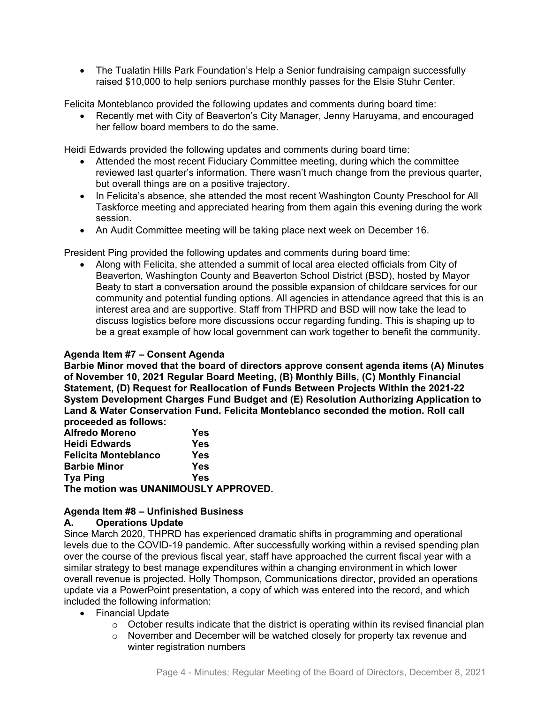• The Tualatin Hills Park Foundation's Help a Senior fundraising campaign successfully raised \$10,000 to help seniors purchase monthly passes for the Elsie Stuhr Center.

Felicita Monteblanco provided the following updates and comments during board time:

• Recently met with City of Beaverton's City Manager, Jenny Haruyama, and encouraged her fellow board members to do the same.

Heidi Edwards provided the following updates and comments during board time:

- Attended the most recent Fiduciary Committee meeting, during which the committee reviewed last quarter's information. There wasn't much change from the previous quarter, but overall things are on a positive trajectory.
- In Felicita's absence, she attended the most recent Washington County Preschool for All Taskforce meeting and appreciated hearing from them again this evening during the work session.
- An Audit Committee meeting will be taking place next week on December 16.

President Ping provided the following updates and comments during board time:

• Along with Felicita, she attended a summit of local area elected officials from City of Beaverton, Washington County and Beaverton School District (BSD), hosted by Mayor Beaty to start a conversation around the possible expansion of childcare services for our community and potential funding options. All agencies in attendance agreed that this is an interest area and are supportive. Staff from THPRD and BSD will now take the lead to discuss logistics before more discussions occur regarding funding. This is shaping up to be a great example of how local government can work together to benefit the community.

#### **Agenda Item #7 – Consent Agenda**

**Barbie Minor moved that the board of directors approve consent agenda items (A) Minutes of November 10, 2021 Regular Board Meeting, (B) Monthly Bills, (C) Monthly Financial Statement, (D) Request for Reallocation of Funds Between Projects Within the 2021-22 System Development Charges Fund Budget and (E) Resolution Authorizing Application to Land & Water Conservation Fund. Felicita Monteblanco seconded the motion. Roll call proceeded as follows:** 

| <b>Alfredo Moreno</b>                | Yes |
|--------------------------------------|-----|
| <b>Heidi Edwards</b>                 | Yes |
| <b>Felicita Monteblanco</b>          | Yes |
| <b>Barbie Minor</b>                  | Yes |
| <b>Tya Ping</b>                      | Yes |
| The motion was UNANIMOUSLY APPROVED. |     |
|                                      |     |

# **Agenda Item #8 – Unfinished Business**

#### **A. Operations Update**

Since March 2020, THPRD has experienced dramatic shifts in programming and operational levels due to the COVID-19 pandemic. After successfully working within a revised spending plan over the course of the previous fiscal year, staff have approached the current fiscal year with a similar strategy to best manage expenditures within a changing environment in which lower overall revenue is projected. Holly Thompson, Communications director, provided an operations update via a PowerPoint presentation, a copy of which was entered into the record, and which included the following information:

- Financial Update
	- $\circ$  October results indicate that the district is operating within its revised financial plan
	- o November and December will be watched closely for property tax revenue and winter registration numbers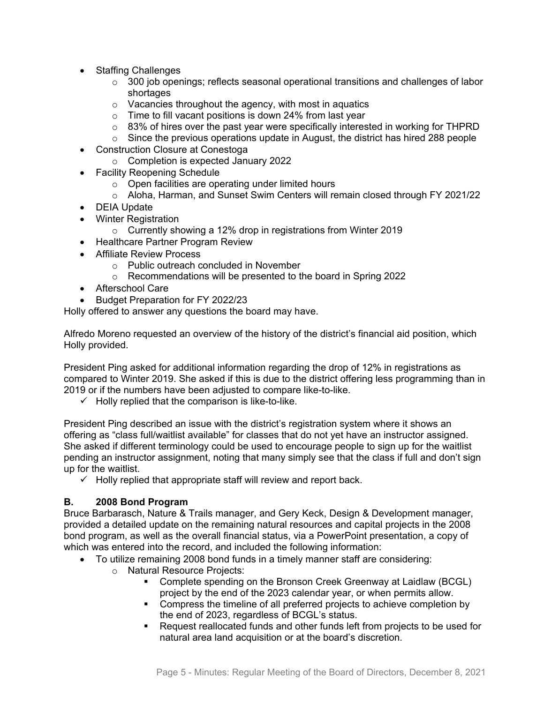- Staffing Challenges
	- $\circ$  300 job openings; reflects seasonal operational transitions and challenges of labor shortages
	- $\circ$  Vacancies throughout the agency, with most in aquatics
	- $\circ$  Time to fill vacant positions is down 24% from last year
	- $\circ$  83% of hires over the past year were specifically interested in working for THPRD
	- $\circ$  Since the previous operations update in August, the district has hired 288 people
- Construction Closure at Conestoga
	- o Completion is expected January 2022
- Facility Reopening Schedule
	- o Open facilities are operating under limited hours
	- o Aloha, Harman, and Sunset Swim Centers will remain closed through FY 2021/22
- DEIA Update
- Winter Registration
	- o Currently showing a 12% drop in registrations from Winter 2019
- Healthcare Partner Program Review
- Affiliate Review Process
	- o Public outreach concluded in November
	- o Recommendations will be presented to the board in Spring 2022
- Afterschool Care
- Budget Preparation for FY 2022/23

Holly offered to answer any questions the board may have.

Alfredo Moreno requested an overview of the history of the district's financial aid position, which Holly provided.

President Ping asked for additional information regarding the drop of 12% in registrations as compared to Winter 2019. She asked if this is due to the district offering less programming than in 2019 or if the numbers have been adjusted to compare like-to-like.

 $\checkmark$  Holly replied that the comparison is like-to-like.

President Ping described an issue with the district's registration system where it shows an offering as "class full/waitlist available" for classes that do not yet have an instructor assigned. She asked if different terminology could be used to encourage people to sign up for the waitlist pending an instructor assignment, noting that many simply see that the class if full and don't sign up for the waitlist.

 $\checkmark$  Holly replied that appropriate staff will review and report back.

# **B. 2008 Bond Program**

Bruce Barbarasch, Nature & Trails manager, and Gery Keck, Design & Development manager, provided a detailed update on the remaining natural resources and capital projects in the 2008 bond program, as well as the overall financial status, via a PowerPoint presentation, a copy of which was entered into the record, and included the following information:

- To utilize remaining 2008 bond funds in a timely manner staff are considering:
	- o Natural Resource Projects:
		- Complete spending on the Bronson Creek Greenway at Laidlaw (BCGL) project by the end of the 2023 calendar year, or when permits allow.
		- Compress the timeline of all preferred projects to achieve completion by the end of 2023, regardless of BCGL's status.
		- Request reallocated funds and other funds left from projects to be used for natural area land acquisition or at the board's discretion.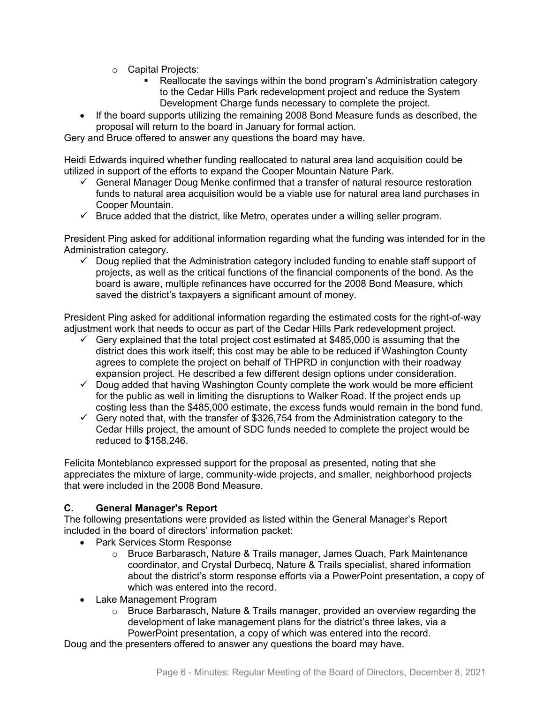- o Capital Projects:
	- Reallocate the savings within the bond program's Administration category to the Cedar Hills Park redevelopment project and reduce the System Development Charge funds necessary to complete the project.
- If the board supports utilizing the remaining 2008 Bond Measure funds as described, the proposal will return to the board in January for formal action.

Gery and Bruce offered to answer any questions the board may have.

Heidi Edwards inquired whether funding reallocated to natural area land acquisition could be utilized in support of the efforts to expand the Cooper Mountain Nature Park.

- $\checkmark$  General Manager Doug Menke confirmed that a transfer of natural resource restoration funds to natural area acquisition would be a viable use for natural area land purchases in Cooper Mountain.
- $\checkmark$  Bruce added that the district, like Metro, operates under a willing seller program.

President Ping asked for additional information regarding what the funding was intended for in the Administration category.

 $\checkmark$  Doug replied that the Administration category included funding to enable staff support of projects, as well as the critical functions of the financial components of the bond. As the board is aware, multiple refinances have occurred for the 2008 Bond Measure, which saved the district's taxpayers a significant amount of money.

President Ping asked for additional information regarding the estimated costs for the right-of-way adjustment work that needs to occur as part of the Cedar Hills Park redevelopment project.

- $\checkmark$  Gery explained that the total project cost estimated at \$485,000 is assuming that the district does this work itself; this cost may be able to be reduced if Washington County agrees to complete the project on behalf of THPRD in conjunction with their roadway expansion project. He described a few different design options under consideration.
- $\checkmark$  Doug added that having Washington County complete the work would be more efficient for the public as well in limiting the disruptions to Walker Road. If the project ends up costing less than the \$485,000 estimate, the excess funds would remain in the bond fund.
- $\checkmark$  Gery noted that, with the transfer of \$326,754 from the Administration category to the Cedar Hills project, the amount of SDC funds needed to complete the project would be reduced to \$158,246.

Felicita Monteblanco expressed support for the proposal as presented, noting that she appreciates the mixture of large, community-wide projects, and smaller, neighborhood projects that were included in the 2008 Bond Measure.

# **C. General Manager's Report**

The following presentations were provided as listed within the General Manager's Report included in the board of directors' information packet:

- Park Services Storm Response
	- o Bruce Barbarasch, Nature & Trails manager, James Quach, Park Maintenance coordinator, and Crystal Durbecq, Nature & Trails specialist, shared information about the district's storm response efforts via a PowerPoint presentation, a copy of which was entered into the record.
- Lake Management Program
	- $\circ$  Bruce Barbarasch, Nature & Trails manager, provided an overview regarding the development of lake management plans for the district's three lakes, via a PowerPoint presentation, a copy of which was entered into the record.

Doug and the presenters offered to answer any questions the board may have.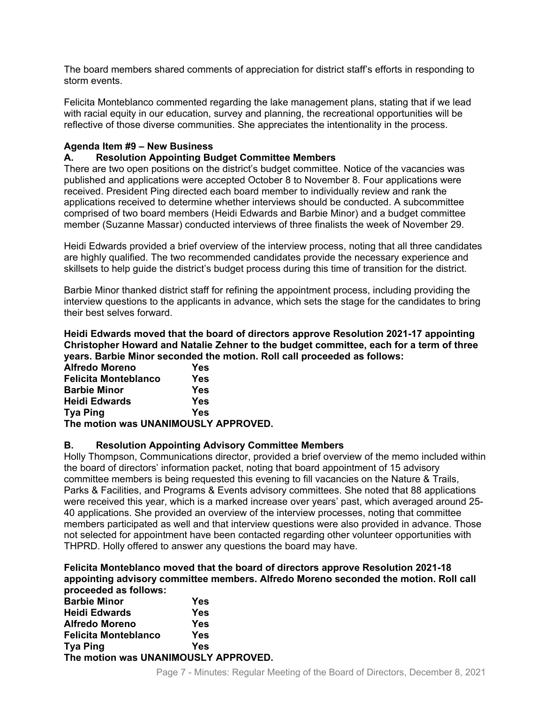The board members shared comments of appreciation for district staff's efforts in responding to storm events.

Felicita Monteblanco commented regarding the lake management plans, stating that if we lead with racial equity in our education, survey and planning, the recreational opportunities will be reflective of those diverse communities. She appreciates the intentionality in the process.

# **Agenda Item #9 – New Business**

### **A. Resolution Appointing Budget Committee Members**

There are two open positions on the district's budget committee. Notice of the vacancies was published and applications were accepted October 8 to November 8. Four applications were received. President Ping directed each board member to individually review and rank the applications received to determine whether interviews should be conducted. A subcommittee comprised of two board members (Heidi Edwards and Barbie Minor) and a budget committee member (Suzanne Massar) conducted interviews of three finalists the week of November 29.

Heidi Edwards provided a brief overview of the interview process, noting that all three candidates are highly qualified. The two recommended candidates provide the necessary experience and skillsets to help guide the district's budget process during this time of transition for the district.

Barbie Minor thanked district staff for refining the appointment process, including providing the interview questions to the applicants in advance, which sets the stage for the candidates to bring their best selves forward.

**Heidi Edwards moved that the board of directors approve Resolution 2021-17 appointing Christopher Howard and Natalie Zehner to the budget committee, each for a term of three years. Barbie Minor seconded the motion. Roll call proceeded as follows:** 

| <b>Alfredo Moreno</b>                | Yes |
|--------------------------------------|-----|
| <b>Felicita Monteblanco</b>          | Yes |
| <b>Barbie Minor</b>                  | Yes |
| <b>Heidi Edwards</b>                 | Yes |
| <b>Tya Ping</b>                      | Yes |
| The motion was UNANIMOUSLY APPROVED. |     |

# **B. Resolution Appointing Advisory Committee Members**

Holly Thompson, Communications director, provided a brief overview of the memo included within the board of directors' information packet, noting that board appointment of 15 advisory committee members is being requested this evening to fill vacancies on the Nature & Trails, Parks & Facilities, and Programs & Events advisory committees. She noted that 88 applications were received this year, which is a marked increase over years' past, which averaged around 25- 40 applications. She provided an overview of the interview processes, noting that committee members participated as well and that interview questions were also provided in advance. Those not selected for appointment have been contacted regarding other volunteer opportunities with THPRD. Holly offered to answer any questions the board may have.

#### **Felicita Monteblanco moved that the board of directors approve Resolution 2021-18 appointing advisory committee members. Alfredo Moreno seconded the motion. Roll call proceeded as follows:**

| <u>processes</u> as renormed         |     |
|--------------------------------------|-----|
| <b>Barbie Minor</b>                  | Yes |
| <b>Heidi Edwards</b>                 | Yes |
| <b>Alfredo Moreno</b>                | Yes |
| <b>Felicita Monteblanco</b>          | Yes |
| <b>Tya Ping</b>                      | Yes |
| The motion was UNANIMOUSLY APPROVED. |     |
|                                      |     |